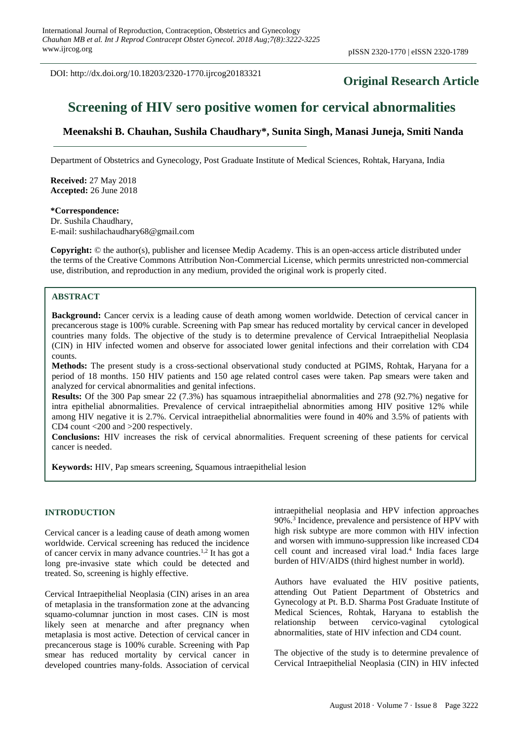DOI: http://dx.doi.org/10.18203/2320-1770.ijrcog20183321

# **Original Research Article**

# **Screening of HIV sero positive women for cervical abnormalities**

# **Meenakshi B. Chauhan, Sushila Chaudhary\*, Sunita Singh, Manasi Juneja, Smiti Nanda**

Department of Obstetrics and Gynecology, Post Graduate Institute of Medical Sciences, Rohtak, Haryana, India

**Received:** 27 May 2018 **Accepted:** 26 June 2018

**\*Correspondence:**

Dr. Sushila Chaudhary, E-mail: sushilachaudhary68@gmail.com

**Copyright:** © the author(s), publisher and licensee Medip Academy. This is an open-access article distributed under the terms of the Creative Commons Attribution Non-Commercial License, which permits unrestricted non-commercial use, distribution, and reproduction in any medium, provided the original work is properly cited.

#### **ABSTRACT**

**Background:** Cancer cervix is a leading cause of death among women worldwide. Detection of cervical cancer in precancerous stage is 100% curable. Screening with Pap smear has reduced mortality by cervical cancer in developed countries many folds. The objective of the study is to determine prevalence of Cervical Intraepithelial Neoplasia (CIN) in HIV infected women and observe for associated lower genital infections and their correlation with CD4 counts.

**Methods:** The present study is a cross-sectional observational study conducted at PGIMS, Rohtak, Haryana for a period of 18 months. 150 HIV patients and 150 age related control cases were taken. Pap smears were taken and analyzed for cervical abnormalities and genital infections.

**Results:** Of the 300 Pap smear 22 (7.3%) has squamous intraepithelial abnormalities and 278 (92.7%) negative for intra epithelial abnormalities. Prevalence of cervical intraepithelial abnormities among HIV positive 12% while among HIV negative it is 2.7%. Cervical intraepithelial abnormalities were found in 40% and 3.5% of patients with CD4 count <200 and >200 respectively.

**Conclusions:** HIV increases the risk of cervical abnormalities. Frequent screening of these patients for cervical cancer is needed.

**Keywords:** HIV, Pap smears screening, Squamous intraepithelial lesion

#### **INTRODUCTION**

Cervical cancer is a leading cause of death among women worldwide. Cervical screening has reduced the incidence of cancer cervix in many advance countries.<sup>1,2</sup> It has got a long pre-invasive state which could be detected and treated. So, screening is highly effective.

Cervical Intraepithelial Neoplasia (CIN) arises in an area of metaplasia in the transformation zone at the advancing squamo-columnar junction in most cases. CIN is most likely seen at menarche and after pregnancy when metaplasia is most active. Detection of cervical cancer in precancerous stage is 100% curable. Screening with Pap smear has reduced mortality by cervical cancer in developed countries many-folds. Association of cervical intraepithelial neoplasia and HPV infection approaches 90%. 3 Incidence, prevalence and persistence of HPV with high risk subtype are more common with HIV infection and worsen with immuno-suppression like increased CD4 cell count and increased viral load. 4 India faces large burden of HIV/AIDS (third highest number in world).

Authors have evaluated the HIV positive patients, attending Out Patient Department of Obstetrics and Gynecology at Pt. B.D. Sharma Post Graduate Institute of Medical Sciences, Rohtak, Haryana to establish the relationship between cervico-vaginal cytological abnormalities, state of HIV infection and CD4 count.

The objective of the study is to determine prevalence of Cervical Intraepithelial Neoplasia (CIN) in HIV infected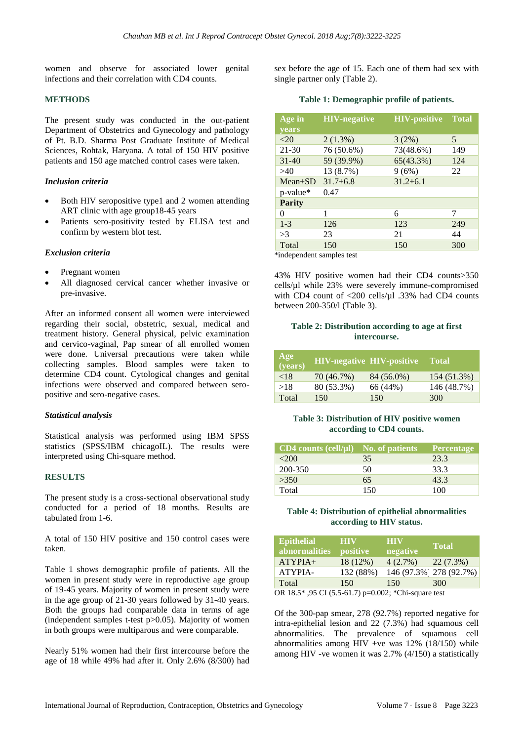women and observe for associated lower genital infections and their correlation with CD4 counts.

# **METHODS**

The present study was conducted in the out-patient Department of Obstetrics and Gynecology and pathology of Pt. B.D. Sharma Post Graduate Institute of Medical Sciences, Rohtak, Haryana. A total of 150 HIV positive patients and 150 age matched control cases were taken.

# *Inclusion criteria*

- Both HIV seropositive type1 and 2 women attending ART clinic with age group18-45 years
- Patients sero-positivity tested by ELISA test and confirm by western blot test.

#### *Exclusion criteria*

- Pregnant women
- All diagnosed cervical cancer whether invasive or pre-invasive.

After an informed consent all women were interviewed regarding their social, obstetric, sexual, medical and treatment history. General physical, pelvic examination and cervico-vaginal, Pap smear of all enrolled women were done. Universal precautions were taken while collecting samples. Blood samples were taken to determine CD4 count. Cytological changes and genital infections were observed and compared between seropositive and sero-negative cases.

# *Statistical analysis*

Statistical analysis was performed using IBM SPSS statistics (SPSS/IBM chicagoIL). The results were interpreted using Chi-square method.

#### **RESULTS**

The present study is a cross-sectional observational study conducted for a period of 18 months. Results are tabulated from 1-6.

A total of 150 HIV positive and 150 control cases were taken.

Table 1 shows demographic profile of patients. All the women in present study were in reproductive age group of 19-45 years. Majority of women in present study were in the age group of 21-30 years followed by 31-40 years. Both the groups had comparable data in terms of age (independent samples t-test  $p > 0.05$ ). Majority of women in both groups were multiparous and were comparable.

Nearly 51% women had their first intercourse before the age of 18 while 49% had after it. Only 2.6% (8/300) had sex before the age of 15. Each one of them had sex with single partner only (Table 2).

#### **Table 1: Demographic profile of patients.**

| Age in                                 | <b>HIV-negative</b> | <b>HIV-positive</b> | <b>Total</b> |
|----------------------------------------|---------------------|---------------------|--------------|
| <b>vears</b>                           |                     |                     |              |
| $<$ 20                                 | $2(1.3\%)$          | 3(2%)               | 5            |
| $21 - 30$                              | 76 (50.6%)          | 73(48.6%)           | 149          |
| $31 - 40$                              | 59 (39.9%)          | 65(43.3%)           | 124          |
| >40                                    | 13 (8.7%)           | 9(6%)               | 22           |
| $Mean \pm SD$                          | $31.7 \pm 6.8$      | $31.2 \pm 6.1$      |              |
| $p$ -value*                            | 0.47                |                     |              |
| <b>Parity</b>                          |                     |                     |              |
| 0                                      | 1                   | 6                   | 7            |
| $1 - 3$                                | 126                 | 123                 | 249          |
| >3                                     | 23                  | 21                  | 44           |
| Total                                  | 150                 | 150                 | 300          |
| **** Januar Januar andre Januar Januar |                     |                     |              |

\*independent samples test

43% HIV positive women had their CD4 counts>350 cells/µl while 23% were severely immune-compromised with CD4 count of <200 cells/ $\mu$ l .33% had CD4 counts between 200-350/l (Table 3).

# **Table 2: Distribution according to age at first intercourse.**

| Age<br>(years) |            | <b>HIV-negative HIV-positive</b> | <b>Total</b> |
|----------------|------------|----------------------------------|--------------|
| ${<}18$        | 70 (46.7%) | 84 (56.0%)                       | 154 (51.3%)  |
| >18            | 80 (53.3%) | 66 (44%)                         | 146 (48.7%)  |
| Total          | 150        | 150                              | 300          |

#### **Table 3: Distribution of HIV positive women according to CD4 counts.**

| $CD4$ counts (cell/ $\mu$ l) No. of patients |     | <b>Percentage</b> |
|----------------------------------------------|-----|-------------------|
| <200                                         | 35  | 23.3              |
| 200-350                                      | 50  | 33.3              |
| >350                                         | 65  | 43.3              |
| Total                                        | 150 | 100               |

# **Table 4: Distribution of epithelial abnormalities according to HIV status.**

| <b>Epithelial</b><br><i>abnormalities</i>       | HIV<br><i>positive</i> | <b>HIV</b><br>negative | <b>Total</b>            |
|-------------------------------------------------|------------------------|------------------------|-------------------------|
| $ATYPIA+$                                       | 18 (12%)               | 4(2.7%)                | 22(7.3%)                |
| ATYPIA-                                         | 132 (88%)              |                        | 146 (97.3%) 278 (92.7%) |
| Total                                           | 150                    | 150                    | 300                     |
| $OD 10 5* 05 01 05 5 01 7 = 0 000.$ $CD: 1000.$ |                        |                        |                         |

OR 18.5\* ,95 CI (5.5-61.7) p=0.002; \*Chi-square test

Of the 300-pap smear, 278 (92.7%) reported negative for intra-epithelial lesion and 22 (7.3%) had squamous cell abnormalities. The prevalence of squamous cell abnormalities among HIV +ve was 12% (18/150) while among HIV -ve women it was 2.7% (4/150) a statistically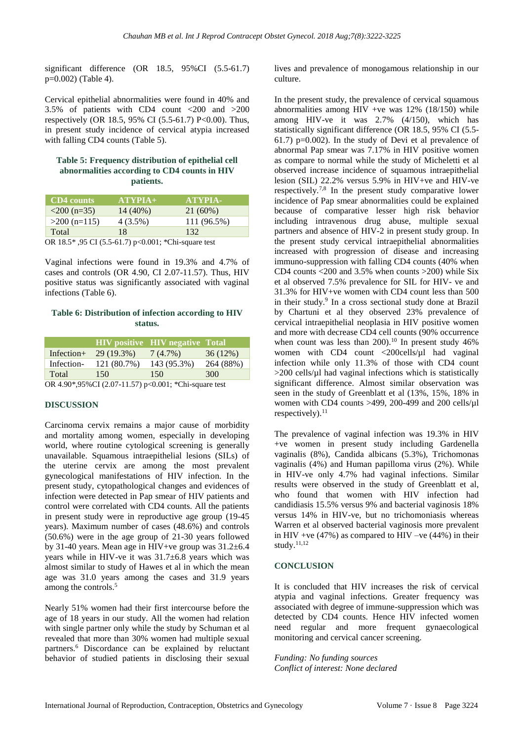significant difference (OR 18.5, 95%CI (5.5-61.7) p=0.002) (Table 4).

Cervical epithelial abnormalities were found in 40% and 3.5% of patients with CD4 count <200 and >200 respectively (OR 18.5, 95% CI (5.5-61.7) P<0.00). Thus, in present study incidence of cervical atypia increased with falling CD4 counts (Table 5).

#### **Table 5: Frequency distribution of epithelial cell abnormalities according to CD4 counts in HIV patients.**

| <b>CD4</b> counts                                                                                                                                                                                                                                                                                                                                                                      | $ATYPIA+$  | <b>ATYPIA-</b> |
|----------------------------------------------------------------------------------------------------------------------------------------------------------------------------------------------------------------------------------------------------------------------------------------------------------------------------------------------------------------------------------------|------------|----------------|
| $\langle 200 \rangle$ (n=35)                                                                                                                                                                                                                                                                                                                                                           | 14 (40%)   | $21(60\%)$     |
| $>200$ (n=115)                                                                                                                                                                                                                                                                                                                                                                         | $4(3.5\%)$ | 111 (96.5%)    |
| Total                                                                                                                                                                                                                                                                                                                                                                                  | 18         | 132            |
| $\bigcap_{i=1}^n A_i \cap \bigcup_{i=1}^n A_i = \bigcap_{i=1}^n A_i = \bigcap_{i=1}^n A_i = \bigcap_{i=1}^n A_i = \bigcap_{i=1}^n A_i = \bigcap_{i=1}^n A_i = \bigcap_{i=1}^n A_i = \bigcap_{i=1}^n A_i = \bigcap_{i=1}^n A_i = \bigcap_{i=1}^n A_i = \bigcap_{i=1}^n A_i = \bigcap_{i=1}^n A_i = \bigcap_{i=1}^n A_i = \bigcap_{i=1}^n A_i = \bigcap_{i=1}^n A_i = \bigcap_{i=1}^n A$ | 0.00101    |                |

OR 18.5\* ,95 CI (5.5-61.7) p<0.001; \*Chi-square test

Vaginal infections were found in 19.3% and 4.7% of cases and controls (OR 4.90, CI 2.07-11.57). Thus, HIV positive status was significantly associated with vaginal infections (Table 6).

# **Table 6: Distribution of infection according to HIV status.**

|               |             | <b>HIV</b> positive <b>HIV</b> negative <b>Total</b> |           |
|---------------|-------------|------------------------------------------------------|-----------|
| Infection $+$ | 29 (19.3%)  | 7(4.7%)                                              | 36(12%)   |
| Infection-    | 121 (80.7%) | 143 (95.3%)                                          | 264 (88%) |
| Total         | 150         | 150                                                  | 300       |
|               |             |                                                      |           |

OR 4.90\*,95%CI (2.07-11.57) p<0.001; \*Chi-square test

# **DISCUSSION**

Carcinoma cervix remains a major cause of morbidity and mortality among women, especially in developing world, where routine cytological screening is generally unavailable. Squamous intraepithelial lesions (SILs) of the uterine cervix are among the most prevalent gynecological manifestations of HIV infection. In the present study, cytopathological changes and evidences of infection were detected in Pap smear of HIV patients and control were correlated with CD4 counts. All the patients in present study were in reproductive age group (19-45 years). Maximum number of cases (48.6%) and controls (50.6%) were in the age group of 21-30 years followed by 31-40 years. Mean age in HIV+ve group was 31.2±6.4 years while in HIV-ve it was 31.7±6.8 years which was almost similar to study of Hawes et al in which the mean age was 31.0 years among the cases and 31.9 years among the controls.<sup>5</sup>

Nearly 51% women had their first intercourse before the age of 18 years in our study. All the women had relation with single partner only while the study by Schuman et al revealed that more than 30% women had multiple sexual partners.<sup>6</sup> Discordance can be explained by reluctant behavior of studied patients in disclosing their sexual lives and prevalence of monogamous relationship in our culture.

In the present study, the prevalence of cervical squamous abnormalities among HIV +ve was 12% (18/150) while among HIV-ve it was 2.7% (4/150), which has statistically significant difference (OR 18.5, 95% CI (5.5- 61.7) p= $0.002$ ). In the study of Devi et al prevalence of abnormal Pap smear was 7.17% in HIV positive women as compare to normal while the study of Micheletti et al observed increase incidence of squamous intraepithelial lesion (SIL) 22.2% versus 5.9% in HIV+ve and HIV-ve respectively.7,8 In the present study comparative lower incidence of Pap smear abnormalities could be explained because of comparative lesser high risk behavior including intravenous drug abuse, multiple sexual partners and absence of HIV-2 in present study group. In the present study cervical intraepithelial abnormalities increased with progression of disease and increasing immuno-suppression with falling CD4 counts (40% when CD4 counts  $<200$  and 3.5% when counts  $>200$ ) while Six et al observed 7.5% prevalence for SIL for HIV- ve and 31.3% for HIV+ve women with CD4 count less than 500 in their study.<sup>9</sup> In a cross sectional study done at Brazil by Chartuni et al they observed 23% prevalence of cervical intraepithelial neoplasia in HIV positive women and more with decrease CD4 cell counts (90% occurrence when count was less than 200).<sup>10</sup> In present study  $46\%$ women with CD4 count <200cells/ $\mu$ l had vaginal infection while only 11.3% of those with CD4 count >200 cells/µl had vaginal infections which is statistically significant difference. Almost similar observation was seen in the study of Greenblatt et al (13%, 15%, 18% in women with CD4 counts >499, 200-499 and 200 cells/µl respectively). $^{11}$ 

The prevalence of vaginal infection was 19.3% in HIV +ve women in present study including Gardenella vaginalis (8%), Candida albicans (5.3%), Trichomonas vaginalis (4%) and Human papilloma virus (2%). While in HIV-ve only 4.7% had vaginal infections. Similar results were observed in the study of Greenblatt et al, who found that women with HIV infection had candidiasis 15.5% versus 9% and bacterial vaginosis 18% versus 14% in HIV-ve, but no trichomoniasis whereas Warren et al observed bacterial vaginosis more prevalent in HIV +ve (47%) as compared to HIV –ve (44%) in their study. 11,12

# **CONCLUSION**

It is concluded that HIV increases the risk of cervical atypia and vaginal infections. Greater frequency was associated with degree of immune-suppression which was detected by CD4 counts. Hence HIV infected women need regular and more frequent gynaecological monitoring and cervical cancer screening.

*Funding: No funding sources Conflict of interest: None declared*